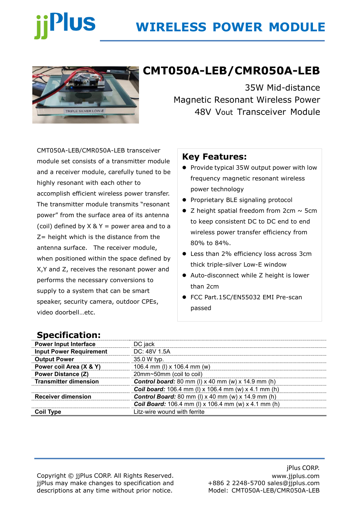# **Plus**

# **WIRELESS POWER MODULE**



# **CMT050A-LEB/CMR050A-LEB**

35W Mid-distance Magnetic Resonant Wireless Power 48V Vout Transceiver Module

CMT050A-LEB/CMR050A-LEB transceiver module set consists of a transmitter module and a receiver module, carefully tuned to be highly resonant with each other to accomplish efficient wireless power transfer. The transmitter module transmits "resonant power" from the surface area of its antenna (coil) defined by  $X \& Y =$  power area and to a  $Z$ = height which is the distance from the antenna surface. The receiver module, when positioned within the space defined by X,Y and Z, receives the resonant power and performs the necessary conversions to supply to a system that can be smart speaker, security camera, outdoor CPEs, video doorbell…etc.

#### **Key Features:**

- ⚫ Provide typical 35W output power with low frequency magnetic resonant wireless power technology
- ⚫ Proprietary BLE signaling protocol
- $\bullet$  Z height spatial freedom from 2cm  $\sim$  5cm to keep consistent DC to DC end to end wireless power transfer efficiency from 80% to 84%.
- Less than 2% efficiency loss across 3cm thick triple-silver Low-E window
- Auto-disconnect while Z height is lower than 2cm
- FCC Part.15C/EN55032 EMI Pre-scan passed

### **Specification:**

| <b>Power Input Interface</b>   | DC jack                                                       |  |
|--------------------------------|---------------------------------------------------------------|--|
| <b>Input Power Requirement</b> | DC: 48V 1.5A                                                  |  |
| <b>Output Power</b>            | 35.0 W typ.                                                   |  |
| Power coil Area (X & Y)        | 106.4 mm (I) x 106.4 mm (w)                                   |  |
| <b>Power Distance (Z)</b>      | 20mm~50mm (coil to coil)                                      |  |
| <b>Transmitter dimension</b>   | <b>Control board:</b> 80 mm (I) $x$ 40 mm (w) $x$ 14.9 mm (h) |  |
|                                | <b>Coil board:</b> 106.4 mm (I) x 106.4 mm (w) x 4.1 mm (h)   |  |
| <b>Receiver dimension</b>      | <b>Control Board:</b> 80 mm (I) $x$ 40 mm (w) $x$ 14.9 mm (h) |  |
|                                | <b>Coil Board:</b> 106.4 mm (I) x 106.4 mm (w) x 4.1 mm (h)   |  |
| <b>Coil Type</b>               | Litz-wire wound with ferrite                                  |  |

Copyright © jjPlus CORP. All Rights Reserved. jjPlus may make changes to specification and descriptions at any time without prior notice.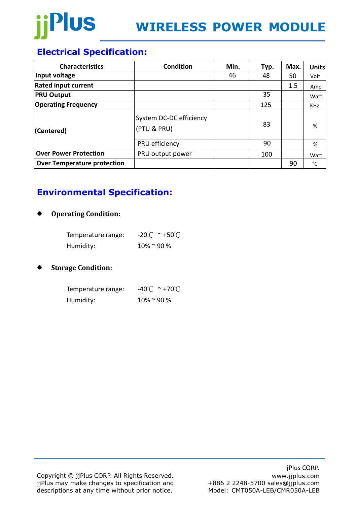

## **Electrical Specification:**

| <b>Characteristics</b>             | <b>Condition</b>                       | Min. | Typ. | Max. | <b>Units</b> |
|------------------------------------|----------------------------------------|------|------|------|--------------|
| Input voltage                      |                                        | 46   | 48   | 50   | Volt         |
| <b>Rated input current</b>         |                                        |      |      | 1.5  | Amp          |
| <b>PRU Output</b>                  |                                        |      | 35   |      | Watt         |
| <b>Operating Frequency</b>         |                                        |      | 125  |      | <b>KHz</b>   |
| (Centered)                         | System DC-DC efficiency<br>(PTU & PRU) |      | 83   |      | %            |
|                                    | PRU efficiency                         |      | 90   |      | %            |
| <b>Over Power Protection</b>       | PRU output power                       |      | 100  |      | Watt         |
| <b>Over Temperature protection</b> |                                        |      |      | 90   | °C           |

## **Environmental Specification:**

#### ⚫ **Operating Condition:**

| Temperature range: | $-20^{\circ}$ C ~ +50 $^{\circ}$ C |
|--------------------|------------------------------------|
| Humidity:          | $10\%$ ~ 90 %                      |

#### ⚫ **Storage Condition:**

| Temperature range: | $-40^{\circ}$ C ~ +70 $^{\circ}$ C |
|--------------------|------------------------------------|
| Humidity:          | $10\%$ ~ 90 %                      |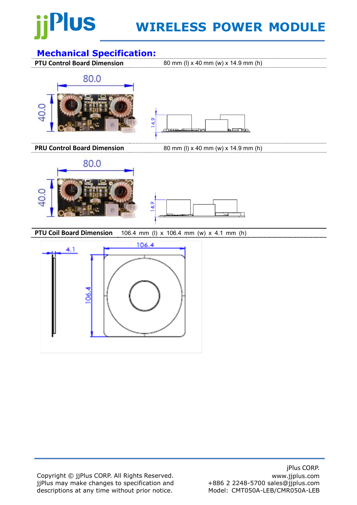# Plus

# **WIRELESS POWER MODULE**

## **Mechanical Specification:**

**PTU Control Board Dimension** 80 mm (I) x 40 mm (w) x 14.9 mm (h)





**PRU Control Board Dimension** 80 mm (I) x 40 mm (w) x 14.9 mm (h)





**PTU Coil Board Dimension** 106.4 mm (l) x 106.4 mm (w) x 4.1 mm (h)



Copyright © jjPlus CORP. All Rights Reserved. jjPlus may make changes to specification and descriptions at any time without prior notice.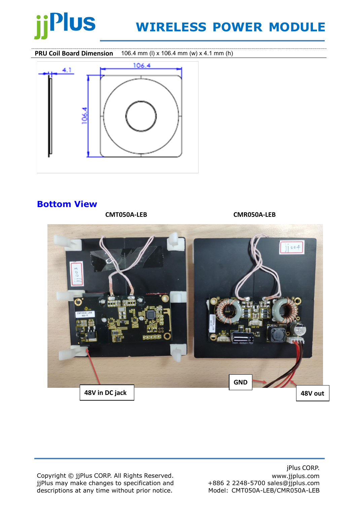

# **WIRELESS POWER MODULE**

**PRU Coil Board Dimension** 106.4 mm (l) x 106.4 mm (w) x 4.1 mm (h)



### **Bottom View**

**CMT050A-LEB CMR050A-LEB**



Copyright © jjPlus CORP. All Rights Reserved. jjPlus may make changes to specification and descriptions at any time without prior notice.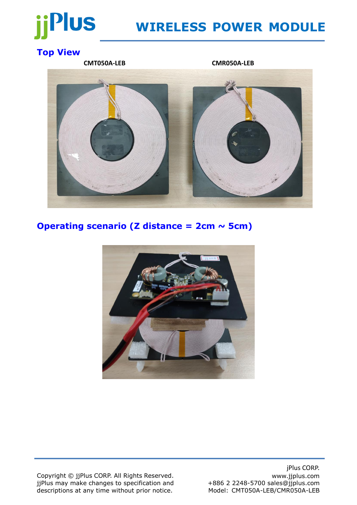# Plus

# **WIRELESS POWER MODULE**

## **Top View**

**CMT050A-LEB CMR050A-LEB**

### **Operating scenario (Z distance = 2cm ~ 5cm)**



Copyright © jjPlus CORP. All Rights Reserved. jjPlus may make changes to specification and descriptions at any time without prior notice.

jPlus CORP. www.jjplus.com +886 2 2248-5700 sales@jjplus.com Model: CMT050A-LEB/CMR050A-LEB